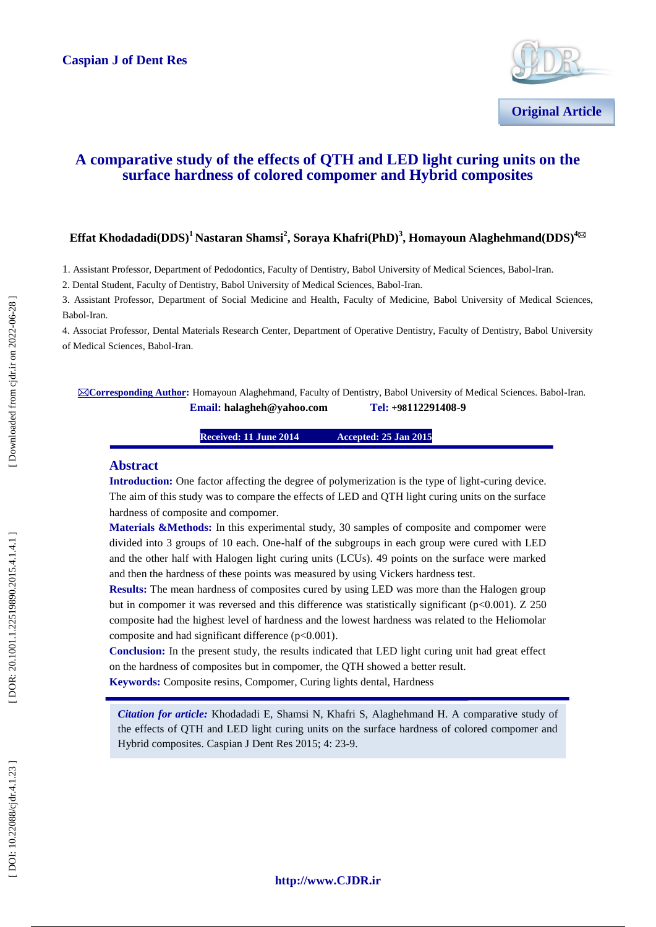

# **A comparative study of the effects of QTH and LED light curing units on the surface hardness of colored compomer and Hybrid composites**

# **Effat Khodadadi(DDS)<sup>1</sup>Nastaran Shamsi 2 , Soraya Khafri(PhD) 3 , Homayoun Alaghehmand(DDS ) 4**

1. Assistant Professor , Department of Pedodontics, Faculty of Dentistry, Babol University of Medical Sciences, Babol -Iran.

2. Dental Student, Faculty of Dentistry, Babol University of Medical Sciences, Babol -Iran.

3. Assistant Professor , Department of Social Medicine and Health, Faculty of Medicine, Babol University of Medical Sciences, Babol -Iran.

4. Associat Professor , Dental Materials Research Center, Department of Operative Dentistry, Faculty of Dentistry, Babol University of Medical Sciences, Babol -Iran.

⊠ Corresponding Author: Homayoun Alaghehmand, Faculty of Dentistry, Babol University of Medical Sciences. Babol-Iran.  $\n **Email:** \n halaphen@vahoo.com\n$ **- 9**

> **Received: 11 June 201 4 Accepted: 25 Jan 2015**

## **Abstract**

**Introduction:** One factor affecting the degree of polymerization is the type of light -curing device. The aim of this study was to compare the effects of LED and QTH light curing units on the surface hardness of composite and compomer.

**Materials &Methods:** In this experimental study, 30 samples of composite and compomer were divided into 3 groups of 10 each. One -half of the subgroups in each group were cured with LED and the other half with Halogen light curing units (LCUs). 49 points on the surface were marked and then the hardness of these points was measured by using Vickers hardness test.

**Results:** The mean hardness of composites cured by using LED was more than the Halogen group but in compomer it was reversed and this difference was statistically significant (p<0.001). Z 250 composite had the highest level of hardness and the lowest hardness was related to the Heliomolar composite and had significant difference (p<0.001) .

**Conclusion:** In the present study, the results indicated that LED light curing unit had great effect on the hardness of composites but in compomer, the QTH showed a better result.

**Keywords:** Composite resins, Compomer, Curing lights dental, Hardness

*Citation for article:* Khodadadi E, Shamsi N, Khafri S, Alaghehmand H. A comparative study of the effects of QTH and LED light curing units on the surface hardness of colored compomer and Hybrid composites. Caspian J Dent Res 2015; 4: 23-9.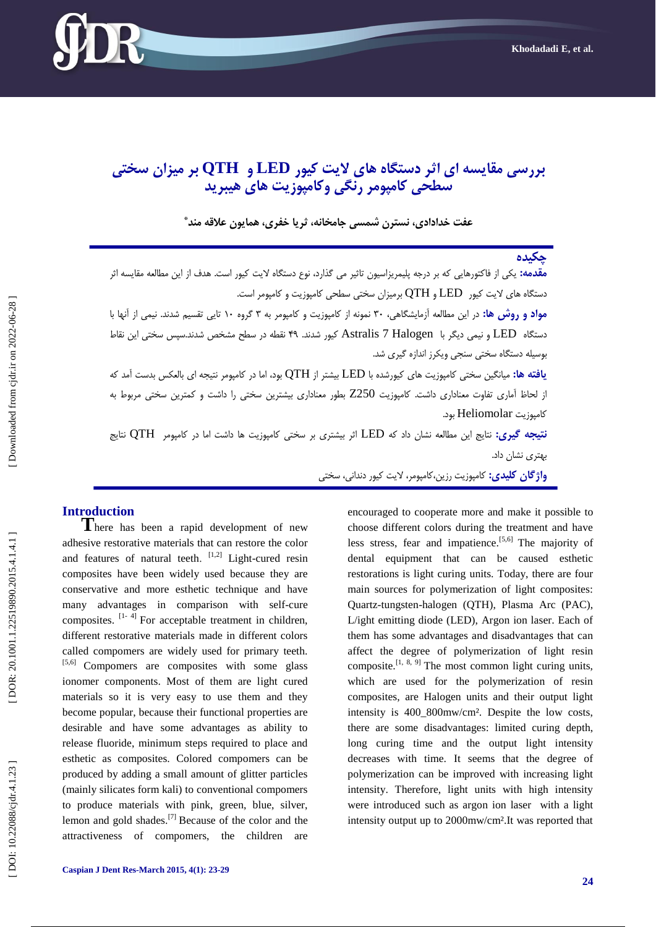

# **بررسی مقایسه ای اثر دستگاه های الیت کیور LED و QTH بر میسان سختی سطحی کامپومر رنگی وکامپوزیت های هیبریذ**

**عفت خذادادی، نسترن شمسی جامخانه، ثریا خفری، همایون عالقه منذ \***

# **چکیذه مقدمه:** یکی از فاکتورهایی که بر درجه پلیمریزاسیون تاثیر می گذارد، نوع دستگاه لایت کیور است. هدف از این مطالعه مقایسه اثر دستگاه های لایت کیور LED و QTH برمیزان سختی سطحی کامپوزیت و کامپومر است. <mark>مواد و روش ها:</mark> در این مطالعه ازمایشگاهی، ۳۰ نمونه از کامپوزیت و کامپومر به ۳ گروه ۱۰ تایی تقسیم شدند. نیمی از انها با دستگاه LED و نيمي ديگر با Astralis 7 Halogen كيور شدند. ۴۹ نقطه در سطح مشخص شدند.سپس سختی این نقاط بوسیله دستگاه سختی سنجی ویکرز اندازه گیری شد. **یافته ها:** میانگین سختی کامپوزیت های کیورشده با LED بیشتر از QTH بود، اما در کامپومر نتیجه ای بالعکس بدست آمد که از لحاظ آماری تفاوت معناداری داشت. کامپوزیت Z250 بطور معناداری بیشترین سختی را داشت و کمترین سختی مربوط به کامپًسیت Heliomolar بًد. **نتیجه گیری:** نتایج این مطالعه نشان داد که LED اثر بیشتری بر سختی کامپوزیت ها داشت اما در کامپومر QTH نتایج بُتزی وشان داد. <mark>واژگان کلیدی:</mark> کامپوزیت رزین،کامپومر، لایت کیور دندانی، سختی

**Introduction <sup>T</sup>**here has been a rapid development of new adhesive restorative materials that can restore the color and features of natural teeth.  $[1,2]$  Light-cured resin composites have been widely used because they are conservative and more esthetic technique and have many advantages in comparison with self-cure composites.  $[1-4]$  For acceptable treatment in children, different restorative materials made in different colors called compomers are widely used for primary teeth. [5,6] Compomers are composites with some glass ionomer components. Most of them are light cured materials so it is very easy to use them and they become popular, because their functional properties are desirable and have some advantages as ability to release fluoride, minimum steps required to place and esthetic as composites. Colored compomers can be produced by adding a small amount of glitter particles (mainly silicates form kali) to conventional compomers to produce materials with pink, green, blue, silver, lemon and gold shades.<sup>[7]</sup> Because of the color and the attractiveness of compomers, the children are

encouraged to cooperate more and make it possible to choose different colors during the treatment and have less stress, fear and impatience.<sup>[5,6]</sup> The majority of dental equipment that can be caused esthetic restorations is light curing units. Today, there are four main sources for polymerization of light composites: Quartz -tungsten -halogen (QTH), Plasma Arc (PAC), L/ight emitting diode (LED), Argon ion laser. Each of them has some advantages and disadvantages that can affect the degree of polymerization of light resin composite.<sup>[1, 8, 9]</sup> The most common light curing units, which are used for the polymerization of resin composites, are Halogen units and their output light intensity is 400 800mw/cm<sup>2</sup>. Despite the low costs, there are some disadvantages: limited curing depth, long curing time and the output light intensity decreases with time. It seems that the degree of polymerization can be improved with increasing light intensity. Therefore, light units with high intensity were introduced such as argon ion laser with a light intensity output up to 2000mw/cm².It was reported that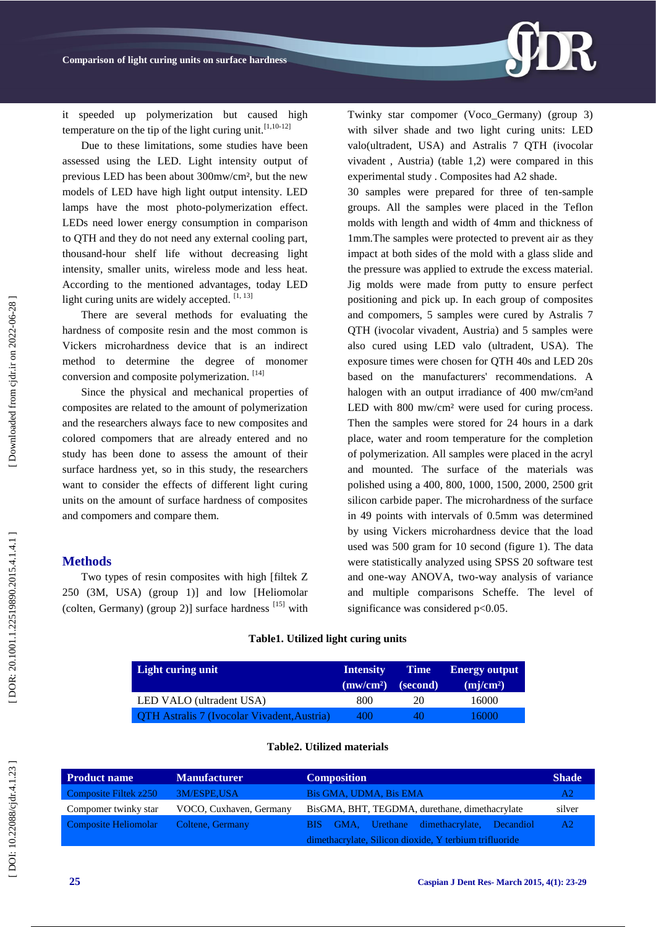

it speeded up polymerization but caused high temperature on the tip of the light curing unit.  $[1,10-12]$ 

Due to these limitations, some studies have been assessed using the LED. Light intensity output of previous LED has been about 300mw/cm², but the new models of LED have high light output intensity. LED lamps have the most photo -polymerization effect. LEDs need lower energy consumption in comparison to QTH and they do not need any external cooling part, thousand -hour shelf life without decreasing light intensity, smaller units, wireless mode and less heat. According to the mentioned advantages, today LED light curing units are widely accepted. [1, 13]

There are several methods for evaluating the hardness of composite resin and the most common is Vickers microhardness device that is an indirect method to determine the degree of monomer conversion and composite polymerization. [14]

Since the physical and mechanical properties of composites are related to the amount of polymerization and the researchers always face to new composites and colored compomers that are already entered and no study has been done to assess the amount of their surface hardness yet, so in this study, the researchers want to consider the effects of different light curing units on the amount of surface hardness of composites and compomers and compare them.

# **Methods**

Two types of resin composites with high [filtek Z 250 (3M, USA) (group 1)] and low [Heliomolar (colten, Germany) (group 2)] surface hardness  $^{[15]}$  with Twinky star compomer (Voco\_Germany) (group 3) with silver shade and two light curing units: LED valo(ultradent, USA) and Astralis 7 QTH (ivocolar vivadent , Austria) (table 1,2) were compared in this experimental study . Composites had A2 shade.

30 samples were prepared for three of ten -sample groups. All the samples were placed in the Teflon molds with length and width of 4mm and thickness of 1mm.The samples were protected to prevent air as they impact at both sides of the mold with a glass slide and the pressure was applied to extrude the excess material. Jig molds were made from putty to ensure perfect positioning and pick up. In each group of composites and compomers, 5 samples were cured by Astralis 7 QTH (ivocolar vivadent, Austria) and 5 samples were also cured using LED valo (ultradent, USA). The exposure times were chosen for QTH 40s and LED 20s based on the manufacturers' recommendations. A halogen with an output irradiance of 400 mw/cm<sup>2</sup>and LED with 800 mw/cm<sup>2</sup> were used for curing process. Then the samples were stored for 24 hours in a dark place, water and room temperature for the completion of polymerization. All samples were placed in the acryl and mounted. The surface of the materials was polished using a 400, 800, 1000, 1500, 2000, 2500 grit silicon carbide paper. The microhardness of the surface in 49 points with intervals of 0.5mm was determined by using Vickers microhardness device that the load used was 500 gram for 10 second (figure 1). The data were statistically analyzed using SPSS 20 software test and one -way ANOVA, two -way analysis of variance and multiple comparisons Scheffe. The level of significance was considered p<0.05.

### **Table1. Utilized light curing units**

| Light curing unit                                  | <b>Intensity</b><br>(mw/cm <sup>2</sup> ) | <b>Time</b><br>(second) | <b>Energy output</b><br>$\text{m}$ j/cm <sup>2</sup> ) |
|----------------------------------------------------|-------------------------------------------|-------------------------|--------------------------------------------------------|
| LED VALO (ultradent USA)                           | 800                                       | 20                      | 16000                                                  |
| <b>QTH Astralis 7 (Ivocolar Vivadent, Austria)</b> | 400                                       | $40^{\circ}$            | 16000                                                  |

#### **Table2. Utilized materials**

| Product name          | <b>Manufacturer</b>     | <b>Composition</b>                                     | <b>Shade</b> |  |
|-----------------------|-------------------------|--------------------------------------------------------|--------------|--|
| Composite Filtek z250 | 3M/ESPE,USA             | Bis GMA, UDMA, Bis EMA                                 | A2           |  |
| Compomer twinky star  | VOCO, Cuxhaven, Germany | BisGMA, BHT, TEGDMA, durethane, dimethacrylate         | silver       |  |
| Composite Heliomolar  | Coltene, Germany        | GMA, Urethane dimethacrylate, Decandiol<br>BIS -       | A2           |  |
|                       |                         | dimethacrylate, Silicon dioxide, Y terbium trifluoride |              |  |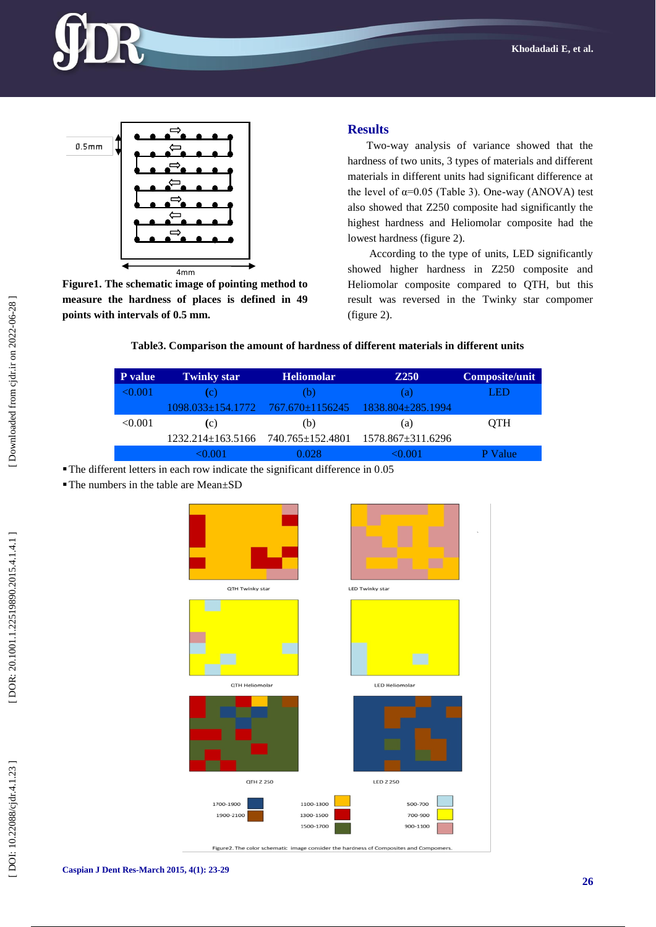



**Figure1. The schematic image of pointing method to measure the hardness of places is defined in 49 points with intervals of 0.5 mm.**

# **Results**

Two -way analysis of variance showed that the hardness of two units, 3 types of materials and different materials in different units had significant difference at the level of  $\alpha$ =0.05 (Table 3). One-way (ANOVA) test also showed that Z250 composite had significantly the highest hardness and Heliomolar composite had the lowest hardness (figure 2).

According to the type of units, LED significantly showed higher hardness in Z250 composite and Heliomolar composite compared to QTH, but this result was reversed in the Twinky star compomer (figure 2) .

# **Table3. Comparison the amount of hardness of different materials in different units**

| <b>P</b> value | <b>Twinky star</b>                 | <b>Heliomolar</b> | <b>Z250</b>                                                 | <b>Composite/unit</b> |
|----------------|------------------------------------|-------------------|-------------------------------------------------------------|-----------------------|
| ≤0.001         |                                    | (b)               | a)                                                          | LED                   |
|                |                                    |                   | 1098.033±154.1772     767.670±1156245     1838.804±285.1994 |                       |
| < 0.001        | (c)                                | (b)               | (a)                                                         | OTH                   |
|                | 1232.214±163.5166 740.765±152.4801 |                   | 1578.867±311.6296                                           |                       |
|                |                                    |                   |                                                             | alue                  |

- The different letters in each row indicate the significant difference in 0 .05
- ■The numbers in the table are Mean±SD

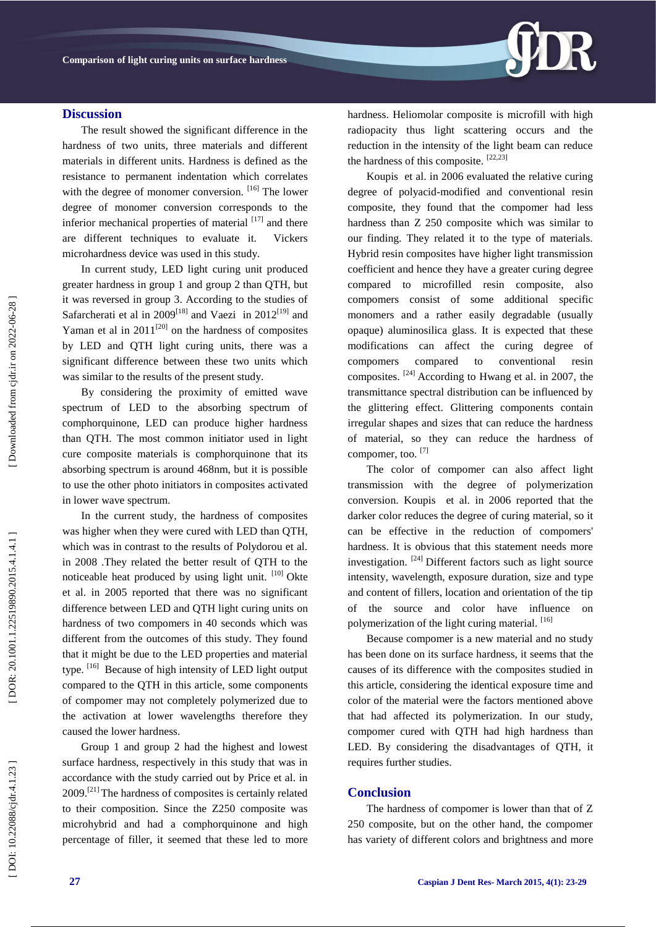# **Discussion**

The result showed the significant difference in the hardness of two units, three materials and different materials in different units. Hardness is defined as the resistance to permanent indentation which correlates with the degree of monomer conversion. <sup>[16]</sup> The lower degree of monomer conversion corresponds to the inferior mechanical properties of material  $[17]$  and there are different techniques to evaluate it. Vickers microhardness device was used in this study.

In current study, LED light curing unit produced greater hardness in group 1 and group 2 than QTH, but it was reversed in group 3. According to the studies of Safarcherati et al in  $2009^{[18]}$  and Vaezi in  $2012^{[19]}$  and Yaman et al in  $2011^{[20]}$  on the hardness of composites by LED and QTH light curing units, there was a significant difference between these two units which was similar to the results of the present study.

By considering the proximity of emitted wave spectrum of LED to the absorbing spectrum of comphorquinone, LED can produce higher hardness than QTH. The most common initiator used in light cure composite materials is comphorquinone that its absorbing spectrum is around 468nm, but it is possible to use the other photo initiators in composites activated in lower wave spectrum.

In the current study, the hardness of composites was higher when they were cured with LED than QTH, which was in contrast to the results of Polydorou et al. in 2008 .They related the better result of QTH to the noticeable heat produced by using light unit. [10] [Okte](http://www.ncbi.nlm.nih.gov/pubmed?term=Okte%20Z%5BAuthor%5D&cauthor=true&cauthor_uid=16130877)  et al. in 2005 reported that there was no significant difference between LED and QTH light curing units on hardness of two compomers in 40 seconds which was different from the outcomes of this study. They found that it might be due to the LED properties and material type.  $[16]$  Because of high intensity of LED light output compared to the QTH in this article, some components of compomer may not completely polymerized due to the activation at lower wavelengths therefore they caused the lower hardness.

Group 1 and group 2 had the highest and lowest surface hardness, respectively in this study that was in accordance with the study carried out by Price et al. in  $2009$ <sup>[21]</sup> The hardness of composites is certainly related to their composition. Since the Z250 composite was microhybrid and had a comphorquinone and high percentage of filler, it seemed that these led to more hardness. Heliomolar composite is microfill with high radiopacity thus light scattering occurs and the reduction in the intensity of the light beam can reduce the hardness of this composite. [22,23]

DR.

[Koupis](http://www.ncbi.nlm.nih.gov/pubmed?term=Koupis%20NS%5BAuthor%5D&cauthor=true&cauthor_uid=16388844) et al. in 2006 evaluated the relative curing degree of polyacid -modified and conventional resin composite, they found that the compomer had less hardness than Z 250 composite which was similar to our finding. They related it to the type of materials. Hybrid resin composites have higher light transmission coefficient and hence they have a greater curing degree compared to microfilled resin composite, also compomers consist of some additional specific monomers and a rather easily degradable (usually opaque) aluminosilica glass. It is expected that these modifications can affect the curing degree of compomers compared to conventional resin composites.  $[24]$  According to Hwang et al. in 2007, the transmittance spectral distribution can be influenced by the glittering effect. Glittering components contain irregular shapes and sizes that can reduce the hardness of material, so they can reduce the hardness of compomer, too. [7]

The color of compomer can also affect light transmission with the degree of polymerization conversion. [Koupis](http://www.ncbi.nlm.nih.gov/pubmed?term=Koupis%20NS%5BAuthor%5D&cauthor=true&cauthor_uid=16388844) et al. in 2006 reported that the darker color reduces the degree of curing material, so it can be effective in the reduction of compomers' hardness. It is obvious that this statement needs more investigation. [24] Different factors such as light source intensity, wavelength, exposure duration, size and type and content of fillers, location and orientation of the tip of the source and color have influence on polymerization of the light curing material. [16]

Because compomer is a new material and no study has been done on its surface hardness, it seems that the causes of its difference with the composites studied in this article, considering the identical exposure time and color of the material were the factors mentioned above that had affected its polymerization. In our study, compomer cured with QTH had high hardness than LED. By considering the disadvantages of QTH, it requires further studies.

# **Conclusion**

The hardness of compomer is lower than that of Z 250 composite, but on the other hand, the compomer has variety of different colors and brightness and more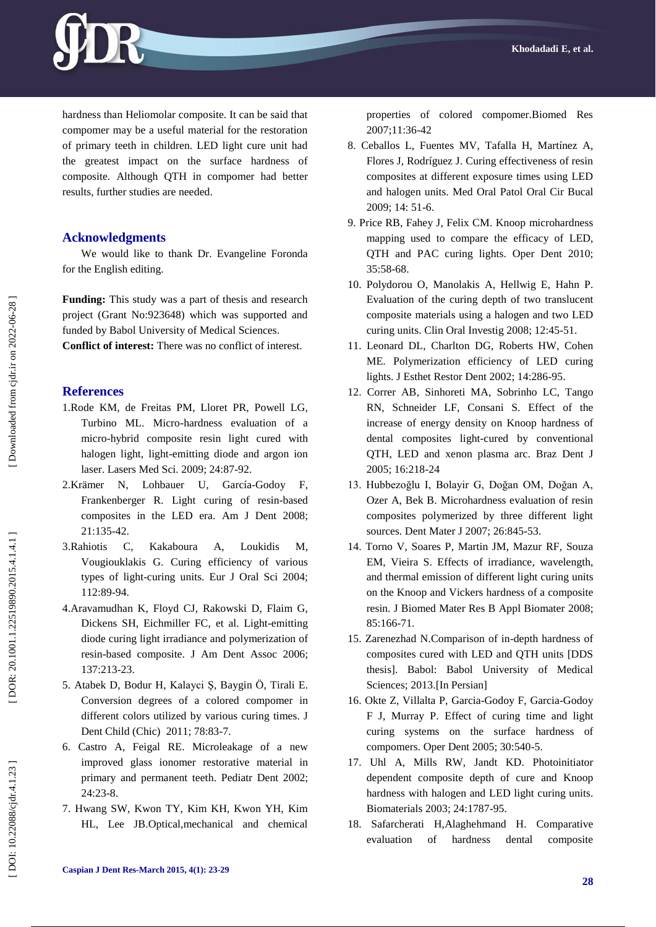

hardness than Heliomolar composite. It can be said that compomer may be a useful material for the restoration of primary teeth in children. LED light cure unit had the greatest impact on the surface hardness of composite. Although QTH in compomer had better results, further studies are needed.

# **Acknowledgments**

We would like to thank Dr. Evangeline Foronda for the English editing.

**Funding:** This study was a part of thesis and research project (Grant No:923648) which was supported and funded by Babol University of Medical Sciences. **Conflict of interest:** There was no conflict of interest.

# **References**

- 1[.Rode KM,](http://www.ncbi.nlm.nih.gov/pubmed?term=Rode%20KM%5BAuthor%5D&cauthor=true&cauthor_uid=18058187) [de Freitas PM,](http://www.ncbi.nlm.nih.gov/pubmed?term=de%20Freitas%20PM%5BAuthor%5D&cauthor=true&cauthor_uid=18058187) [Lloret PR,](http://www.ncbi.nlm.nih.gov/pubmed?term=Lloret%20PR%5BAuthor%5D&cauthor=true&cauthor_uid=18058187) [Powell LG,](http://www.ncbi.nlm.nih.gov/pubmed?term=Powell%20LG%5BAuthor%5D&cauthor=true&cauthor_uid=18058187) [Turbino ML.](http://www.ncbi.nlm.nih.gov/pubmed?term=Turbino%20ML%5BAuthor%5D&cauthor=true&cauthor_uid=18058187) Micro -hardness evaluation of a micro -hybrid composite resin light cured with halogen light, light -emitting diode and argon ion laser. Lasers [Med Sci.](http://www.ncbi.nlm.nih.gov/pubmed/18058187) 2009; 24:87 -92.
- 2[.Krämer N,](http://www.ncbi.nlm.nih.gov/pubmed?term=Kr%C3%A4mer%20N%5BAuthor%5D&cauthor=true&cauthor_uid=18686762) [Lohbauer U,](http://www.ncbi.nlm.nih.gov/pubmed?term=Lohbauer%20U%5BAuthor%5D&cauthor=true&cauthor_uid=18686762) García [-Godoy F,](http://www.ncbi.nlm.nih.gov/pubmed?term=Garc%C3%ADa-Godoy%20F%5BAuthor%5D&cauthor=true&cauthor_uid=18686762) [Frankenberger R](http://www.ncbi.nlm.nih.gov/pubmed?term=Frankenberger%20R%5BAuthor%5D&cauthor=true&cauthor_uid=18686762) . Light curing of resin -based composites in the LED era. [Am J Dent](http://www.ncbi.nlm.nih.gov/pubmed/?term=Light+curing+of+resin-based+composites+in+the+LED+era) 2008; 21:135 -42.
- 3[.Rahiotis C,](http://www.ncbi.nlm.nih.gov/pubmed?term=Rahiotis%20C%5BAuthor%5D&cauthor=true&cauthor_uid=14871199) [Kakaboura A,](http://www.ncbi.nlm.nih.gov/pubmed?term=Kakaboura%20A%5BAuthor%5D&cauthor=true&cauthor_uid=14871199) [Loukidis M,](http://www.ncbi.nlm.nih.gov/pubmed?term=Loukidis%20M%5BAuthor%5D&cauthor=true&cauthor_uid=14871199) [Vougiouklakis G](http://www.ncbi.nlm.nih.gov/pubmed?term=Vougiouklakis%20G%5BAuthor%5D&cauthor=true&cauthor_uid=14871199) . Curing efficiency of various types of light -curing units. [Eur J Oral Sci](http://www.ncbi.nlm.nih.gov/pubmed/14871199) 2004; 112:89 -94.
- 4[.Aravamudhan K,](http://www.ncbi.nlm.nih.gov/pubmed?term=Aravamudhan%20K%5BAuthor%5D&cauthor=true&cauthor_uid=16521388) [Floyd CJ,](http://www.ncbi.nlm.nih.gov/pubmed?term=Floyd%20CJ%5BAuthor%5D&cauthor=true&cauthor_uid=16521388) [Rakowski D,](http://www.ncbi.nlm.nih.gov/pubmed?term=Rakowski%20D%5BAuthor%5D&cauthor=true&cauthor_uid=16521388) [Flaim G,](http://www.ncbi.nlm.nih.gov/pubmed?term=Flaim%20G%5BAuthor%5D&cauthor=true&cauthor_uid=16521388) [Dickens SH,](http://www.ncbi.nlm.nih.gov/pubmed?term=Dickens%20SH%5BAuthor%5D&cauthor=true&cauthor_uid=16521388) [Eichmiller FC,](http://www.ncbi.nlm.nih.gov/pubmed?term=Eichmiller%20FC%5BAuthor%5D&cauthor=true&cauthor_uid=16521388) [et](http://www.ncbi.nlm.nih.gov/pubmed?term=Fan%20PL%5BAuthor%5D&cauthor=true&cauthor_uid=16521388) al. Light -emitting diode curing light irradiance and polymerization of resin -based composite. [J Am Dent Assoc](http://www.ncbi.nlm.nih.gov/pubmed/16521388) 2006; 137:213 -23.
- 5. [Atabek D,](http://www.ncbi.nlm.nih.gov/pubmed?term=Atabek%20D%5BAuthor%5D&cauthor=true&cauthor_uid=22041112) [Bodur H,](http://www.ncbi.nlm.nih.gov/pubmed?term=Bodur%20H%5BAuthor%5D&cauthor=true&cauthor_uid=22041112) [Kalayci Ş,](http://www.ncbi.nlm.nih.gov/pubmed?term=Kalayci%20%C5%9E%5BAuthor%5D&cauthor=true&cauthor_uid=22041112) [Baygin Ö,](http://www.ncbi.nlm.nih.gov/pubmed?term=Baygin%20%C3%96%5BAuthor%5D&cauthor=true&cauthor_uid=22041112) [Tirali E](http://www.ncbi.nlm.nih.gov/pubmed?term=Tirali%20E%5BAuthor%5D&cauthor=true&cauthor_uid=22041112) . Conversion degrees of a colored compomer in different colors utilized by various curing times. [J](http://www.ncbi.nlm.nih.gov/pubmed/?term=Conversion+degrees+of+a+colored+compomer+in+different+colors+utilized+by+various+curing+times)  [Dent Child \(Chic\)](http://www.ncbi.nlm.nih.gov/pubmed/?term=Conversion+degrees+of+a+colored+compomer+in+different+colors+utilized+by+various+curing+times) 2011; 78:83 -7.
- 6. [Castro A,](http://www.ncbi.nlm.nih.gov/pubmed?term=Castro%20A%5BAuthor%5D&cauthor=true&cauthor_uid=11874054) [Feigal RE](http://www.ncbi.nlm.nih.gov/pubmed?term=Feigal%20RE%5BAuthor%5D&cauthor=true&cauthor_uid=11874054) . Microleakage of a new improved glass ionomer restorative material in primary and permanent teeth. [Pediatr Dent](http://www.ncbi.nlm.nih.gov/pubmed/?term=microleakage+of+a+new+improved+glass+ionomer+restorative+material+in+primary+and+permanent+teeth) 2002; 24:23 -8.
- 7. Hwang SW, Kwon TY, Kim KH, Kwon YH, Kim HL, Lee JB.Optical,mechanical and chemical

properties of colored compomer.Biomed Res 2007;11:36 -42

- 8. [Ceballos L,](http://www.ncbi.nlm.nih.gov/pubmed?term=Ceballos%20L%5BAuthor%5D&cauthor=true&cauthor_uid=19114957) [Fuentes MV,](http://www.ncbi.nlm.nih.gov/pubmed?term=Fuentes%20MV%5BAuthor%5D&cauthor=true&cauthor_uid=19114957) [Tafalla H,](http://www.ncbi.nlm.nih.gov/pubmed?term=Tafalla%20H%5BAuthor%5D&cauthor=true&cauthor_uid=19114957) [Martínez A,](http://www.ncbi.nlm.nih.gov/pubmed?term=Mart%C3%ADnez%20A%5BAuthor%5D&cauthor=true&cauthor_uid=19114957) [Flores](http://www.ncbi.nlm.nih.gov/pubmed?term=Flores%20J%5BAuthor%5D&cauthor=true&cauthor_uid=19114957) J, [Rodríguez J.](http://www.ncbi.nlm.nih.gov/pubmed?term=Rodr%C3%ADguez%20J%5BAuthor%5D&cauthor=true&cauthor_uid=19114957) Curing effectiveness of resin composites at different exposure times using LED and halogen units. [Med Oral Patol Oral Cir Bucal](http://www.ncbi.nlm.nih.gov/pubmed/19114957) 2009; 14: 51 -6.
- 9. [Price RB,](http://www.ncbi.nlm.nih.gov/pubmed?term=Price%20RB%5BAuthor%5D&cauthor=true&cauthor_uid=20166412) [Fahey J,](http://www.ncbi.nlm.nih.gov/pubmed?term=Fahey%20J%5BAuthor%5D&cauthor=true&cauthor_uid=20166412) [Felix CM](http://www.ncbi.nlm.nih.gov/pubmed?term=Felix%20CM%5BAuthor%5D&cauthor=true&cauthor_uid=20166412) . Knoop microhardness mapping used to compare the efficacy of LED, QTH and PAC curing lights. [Oper Dent](http://www.ncbi.nlm.nih.gov/pubmed/?term=.knoop+microhardness+mapping+used+to+compare+the+efficacy+of+LED%2CQTH+and+PAC+curing+lights) 2010; 35:58 -68.
- 10. [Polydorou O,](http://www.ncbi.nlm.nih.gov/pubmed?term=Polydorou%20O%5BAuthor%5D&cauthor=true&cauthor_uid=17960434) [Manolakis A,](http://www.ncbi.nlm.nih.gov/pubmed?term=Manolakis%20A%5BAuthor%5D&cauthor=true&cauthor_uid=17960434) [Hellwig E,](http://www.ncbi.nlm.nih.gov/pubmed?term=Hellwig%20E%5BAuthor%5D&cauthor=true&cauthor_uid=17960434) [Hahn P](http://www.ncbi.nlm.nih.gov/pubmed?term=Hahn%20P%5BAuthor%5D&cauthor=true&cauthor_uid=17960434) . Evaluation of the curing depth of two translucent composite materials using a halogen and two LED curing units. [Clin Oral Investig](http://www.ncbi.nlm.nih.gov/pubmed/?term=Evaluation+of+the+curing+depth+of+two+translucent+composite+materials+using+a+halogen+and+two+LED+curing+units) 2008; 12:45 -51.
- 11. [Leonard DL,](http://www.ncbi.nlm.nih.gov/pubmed?term=Leonard%20DL%5BAuthor%5D&cauthor=true&cauthor_uid=12405584) [Charlton DG,](http://www.ncbi.nlm.nih.gov/pubmed?term=Charlton%20DG%5BAuthor%5D&cauthor=true&cauthor_uid=12405584) [Roberts HW,](http://www.ncbi.nlm.nih.gov/pubmed?term=Roberts%20HW%5BAuthor%5D&cauthor=true&cauthor_uid=12405584) [Cohen](http://www.ncbi.nlm.nih.gov/pubmed?term=Cohen%20ME%5BAuthor%5D&cauthor=true&cauthor_uid=12405584)  [ME](http://www.ncbi.nlm.nih.gov/pubmed?term=Cohen%20ME%5BAuthor%5D&cauthor=true&cauthor_uid=12405584) . Polymerization efficiency of LED curing lights. [J Esthet Restor Dent](http://www.ncbi.nlm.nih.gov/pubmed/12405584) 2002; 14:286 -95.
- 12. [Correr AB,](http://www.ncbi.nlm.nih.gov/pubmed?term=Correr%20AB%5BAuthor%5D&cauthor=true&cauthor_uid=16429188) [Sinhoreti MA,](http://www.ncbi.nlm.nih.gov/pubmed?term=Sinhoreti%20MA%5BAuthor%5D&cauthor=true&cauthor_uid=16429188) [Sobrinho LC,](http://www.ncbi.nlm.nih.gov/pubmed?term=Sobrinho%20LC%5BAuthor%5D&cauthor=true&cauthor_uid=16429188) [Tango](http://www.ncbi.nlm.nih.gov/pubmed?term=Tango%20RN%5BAuthor%5D&cauthor=true&cauthor_uid=16429188)  [RN,](http://www.ncbi.nlm.nih.gov/pubmed?term=Tango%20RN%5BAuthor%5D&cauthor=true&cauthor_uid=16429188) [Schneider LF,](http://www.ncbi.nlm.nih.gov/pubmed?term=Schneider%20LF%5BAuthor%5D&cauthor=true&cauthor_uid=16429188) [Consani S.](http://www.ncbi.nlm.nih.gov/pubmed?term=Consani%20S%5BAuthor%5D&cauthor=true&cauthor_uid=16429188) Effect of the increase of energy density on Knoop hardness of dental composites light -cured by conventional QTH, LED and xenon plasma arc . Braz Dent J 2005; 16:218 -24
- 13. Hubbezoğlu I, Bolayir G, Doğan OM, Doğan A, Ozer A, Bek B. Microhardness evaluation of resin composites polymerized by three different light sources. [Dent Mater J](http://www.ncbi.nlm.nih.gov/pubmed/18203490) 2007; 26:845 -53.
- 14. [Torno V,](http://www.ncbi.nlm.nih.gov/pubmed?term=Torno%20V%5BAuthor%5D&cauthor=true&cauthor_uid=17853418) [Soares P,](http://www.ncbi.nlm.nih.gov/pubmed?term=Soares%20P%5BAuthor%5D&cauthor=true&cauthor_uid=17853418) [Martin JM,](http://www.ncbi.nlm.nih.gov/pubmed?term=Martin%20JM%5BAuthor%5D&cauthor=true&cauthor_uid=17853418) [Mazur RF,](http://www.ncbi.nlm.nih.gov/pubmed?term=Mazur%20RF%5BAuthor%5D&cauthor=true&cauthor_uid=17853418) [Souza](http://www.ncbi.nlm.nih.gov/pubmed?term=Souza%20EM%5BAuthor%5D&cauthor=true&cauthor_uid=17853418)  [EM,](http://www.ncbi.nlm.nih.gov/pubmed?term=Souza%20EM%5BAuthor%5D&cauthor=true&cauthor_uid=17853418) [Vieira S](http://www.ncbi.nlm.nih.gov/pubmed?term=Vieira%20S%5BAuthor%5D&cauthor=true&cauthor_uid=17853418) . Effects of irradiance, wavelength, and thermal emission of different light curing units on the Knoop and Vickers hardness of a composite resin. [J Biomed Mater Res B Appl Biomater](http://www.ncbi.nlm.nih.gov/pubmed/?term=effects+of+irradiance%2Cwavelength+thermal+emission+of+different+light+curing+unitson+the+knoop+and+vickers+hardness) 2008; 85:166 -71.
- 15. Zarenezhad N.Comparison of in -depth hardness of composites cured with LED and QTH units [DDS thesis]. Babol: Babol University of Medical Sciences; 2013.[In Persian]
- 16. [Okte Z,](http://www.ncbi.nlm.nih.gov/pubmed?term=Okte%20Z%5BAuthor%5D&cauthor=true&cauthor_uid=16130877) [Villalta P,](http://www.ncbi.nlm.nih.gov/pubmed?term=Villalta%20P%5BAuthor%5D&cauthor=true&cauthor_uid=16130877) Garcia [-Godoy F,](http://www.ncbi.nlm.nih.gov/pubmed?term=Garcia-Godoy%20F%5BAuthor%5D&cauthor=true&cauthor_uid=16130877) Garcia [-Godoy](http://www.ncbi.nlm.nih.gov/pubmed?term=Garcia-Godoy%20F%20Jr%5BAuthor%5D&cauthor=true&cauthor_uid=16130877)  [F J,](http://www.ncbi.nlm.nih.gov/pubmed?term=Garcia-Godoy%20F%20Jr%5BAuthor%5D&cauthor=true&cauthor_uid=16130877) [Murray P](http://www.ncbi.nlm.nih.gov/pubmed?term=Murray%20P%5BAuthor%5D&cauthor=true&cauthor_uid=16130877) . Effect of curing tim e and light curing systems on the surface hardness of compomers. [Oper Dent](http://www.ncbi.nlm.nih.gov/pubmed/16130877) 2005; 30:540 -5.
- 17. [Uhl A,](http://www.ncbi.nlm.nih.gov/pubmed?term=Uhl%20A%5BAuthor%5D&cauthor=true&cauthor_uid=12593961) [Mills RW,](http://www.ncbi.nlm.nih.gov/pubmed?term=Mills%20RW%5BAuthor%5D&cauthor=true&cauthor_uid=12593961) [Jandt KD](http://www.ncbi.nlm.nih.gov/pubmed?term=Jandt%20KD%5BAuthor%5D&cauthor=true&cauthor_uid=12593961) . Photoinitiator dependent composite depth of cure and Knoop hardness with halogen and LED light curing units. [Biomaterials](http://www.ncbi.nlm.nih.gov/pubmed/?term=photoinitiator+dependent+compositedepth+of+cure+and+knoop+hardness+with+halogen+and+led) 2003; 24:1787 -95.
- 18. Safarcherati H,Alaghehmand H . Comparative evaluation of hardness dental composite